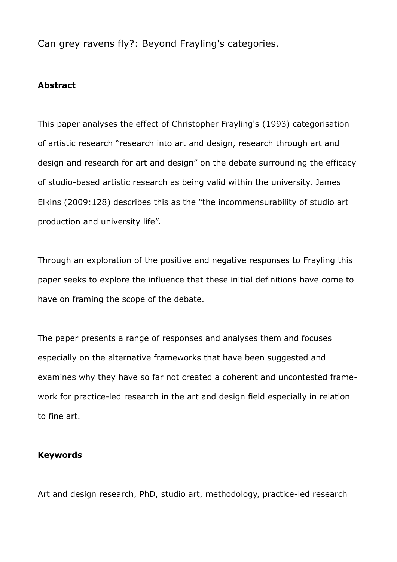# Can grey ravens fly?: Beyond Frayling's categories.

# **Abstract**

This paper analyses the effect of Christopher Frayling's (1993) categorisation of artistic research "research into art and design, research through art and design and research for art and design" on the debate surrounding the efficacy of studio-based artistic research as being valid within the university. James Elkins (2009:128) describes this as the "the incommensurability of studio art production and university life".

Through an exploration of the positive and negative responses to Frayling this paper seeks to explore the influence that these initial definitions have come to have on framing the scope of the debate.

The paper presents a range of responses and analyses them and focuses especially on the alternative frameworks that have been suggested and examines why they have so far not created a coherent and uncontested framework for practice-led research in the art and design field especially in relation to fine art.

# **Keywords**

Art and design research, PhD, studio art, methodology, practice-led research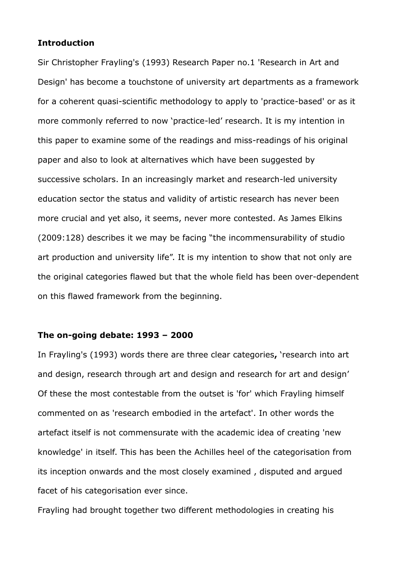### **Introduction**

Sir Christopher Frayling's (1993) Research Paper no.1 'Research in Art and Design' has become a touchstone of university art departments as a framework for a coherent quasi-scientific methodology to apply to 'practice-based' or as it more commonly referred to now 'practice-led' research. It is my intention in this paper to examine some of the readings and miss-readings of his original paper and also to look at alternatives which have been suggested by successive scholars. In an increasingly market and research-led university education sector the status and validity of artistic research has never been more crucial and yet also, it seems, never more contested. As James Elkins (2009:128) describes it we may be facing "the incommensurability of studio art production and university life". It is my intention to show that not only are the original categories flawed but that the whole field has been over-dependent on this flawed framework from the beginning.

# **The on-going debate: 1993 – 2000**

In Frayling's (1993) words there are three clear categories**,** 'research into art and design, research through art and design and research for art and design' Of these the most contestable from the outset is 'for' which Frayling himself commented on as 'research embodied in the artefact'. In other words the artefact itself is not commensurate with the academic idea of creating 'new knowledge' in itself. This has been the Achilles heel of the categorisation from its inception onwards and the most closely examined , disputed and argued facet of his categorisation ever since.

Frayling had brought together two different methodologies in creating his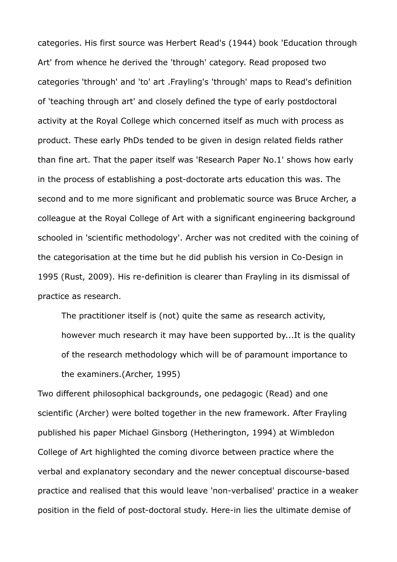categories. His first source was Herbert Read's (1944) book 'Education through Art' from whence he derived the 'through' category. Read proposed two categories 'through' and 'to' art .Frayling's 'through' maps to Read's definition of 'teaching through art' and closely defined the type of early postdoctoral activity at the Royal College which concerned itself as much with process as product. These early PhDs tended to be given in design related fields rather than fine art. That the paper itself was 'Research Paper No.1' shows how early in the process of establishing a post-doctorate arts education this was. The second and to me more significant and problematic source was Bruce Archer, a colleague at the Royal College of Art with a significant engineering background schooled in 'scientific methodology'. Archer was not credited with the coining of the categorisation at the time but he did publish his version in Co-Design in 1995 (Rust, 2009). His re-definition is clearer than Frayling in its dismissal of practice as research.

The practitioner itself is (not) quite the same as research activity, however much research it may have been supported by...It is the quality of the research methodology which will be of paramount importance to the examiners.(Archer, 1995)

Two different philosophical backgrounds, one pedagogic (Read) and one scientific (Archer) were bolted together in the new framework. After Frayling published his paper Michael Ginsborg (Hetherington, 1994) at Wimbledon College of Art highlighted the coming divorce between practice where the verbal and explanatory secondary and the newer conceptual discourse-based practice and realised that this would leave 'non-verbalised' practice in a weaker position in the field of post-doctoral study. Here-in lies the ultimate demise of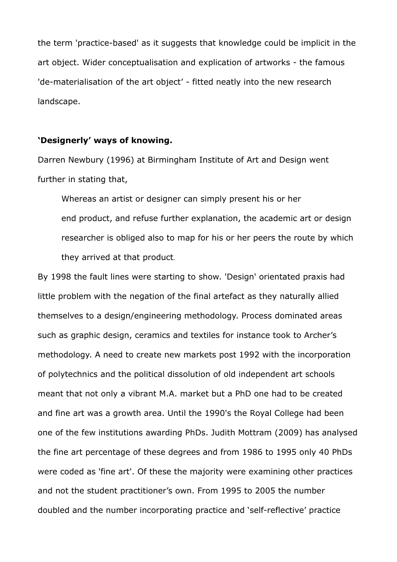the term 'practice-based' as it suggests that knowledge could be implicit in the art object. Wider conceptualisation and explication of artworks - the famous 'de-materialisation of the art object' - fitted neatly into the new research landscape.

#### **'Designerly' ways of knowing.**

Darren Newbury (1996) at Birmingham Institute of Art and Design went further in stating that,

Whereas an artist or designer can simply present his or her end product, and refuse further explanation, the academic art or design researcher is obliged also to map for his or her peers the route by which they arrived at that product.

By 1998 the fault lines were starting to show. 'Design' orientated praxis had little problem with the negation of the final artefact as they naturally allied themselves to a design/engineering methodology. Process dominated areas such as graphic design, ceramics and textiles for instance took to Archer's methodology. A need to create new markets post 1992 with the incorporation of polytechnics and the political dissolution of old independent art schools meant that not only a vibrant M.A. market but a PhD one had to be created and fine art was a growth area. Until the 1990's the Royal College had been one of the few institutions awarding PhDs. Judith Mottram (2009) has analysed the fine art percentage of these degrees and from 1986 to 1995 only 40 PhDs were coded as 'fine art'. Of these the majority were examining other practices and not the student practitioner's own. From 1995 to 2005 the number doubled and the number incorporating practice and 'self-reflective' practice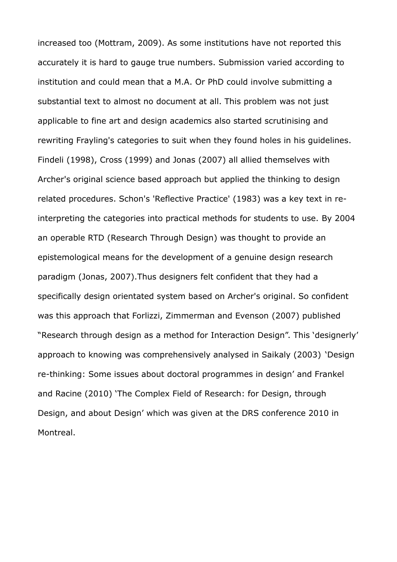increased too (Mottram, 2009). As some institutions have not reported this accurately it is hard to gauge true numbers. Submission varied according to institution and could mean that a M.A. Or PhD could involve submitting a substantial text to almost no document at all. This problem was not just applicable to fine art and design academics also started scrutinising and rewriting Frayling's categories to suit when they found holes in his guidelines. Findeli (1998), Cross (1999) and Jonas (2007) all allied themselves with Archer's original science based approach but applied the thinking to design related procedures. Schon's 'Reflective Practice' (1983) was a key text in reinterpreting the categories into practical methods for students to use. By 2004 an operable RTD (Research Through Design) was thought to provide an epistemological means for the development of a genuine design research paradigm (Jonas, 2007).Thus designers felt confident that they had a specifically design orientated system based on Archer's original. So confident was this approach that Forlizzi, Zimmerman and Evenson (2007) published "Research through design as a method for Interaction Design". This 'designerly' approach to knowing was comprehensively analysed in Saikaly (2003) 'Design re-thinking: Some issues about doctoral programmes in design' and Frankel and Racine (2010) 'The Complex Field of Research: for Design, through Design, and about Design' which was given at the DRS conference 2010 in Montreal.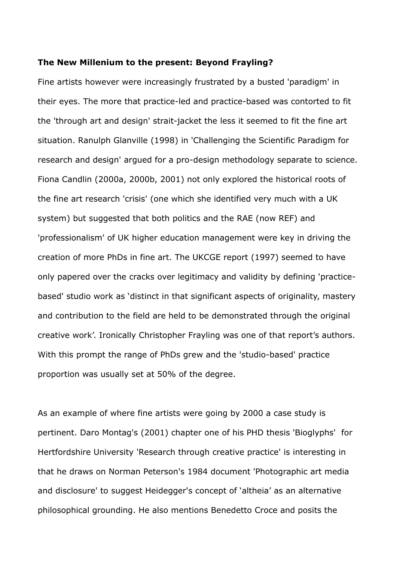#### **The New Millenium to the present: Beyond Frayling?**

Fine artists however were increasingly frustrated by a busted 'paradigm' in their eyes. The more that practice-led and practice-based was contorted to fit the 'through art and design' strait-jacket the less it seemed to fit the fine art situation. Ranulph Glanville (1998) in 'Challenging the Scientific Paradigm for research and design' argued for a pro-design methodology separate to science. Fiona Candlin (2000a, 2000b, 2001) not only explored the historical roots of the fine art research 'crisis' (one which she identified very much with a UK system) but suggested that both politics and the RAE (now REF) and 'professionalism' of UK higher education management were key in driving the creation of more PhDs in fine art. The UKCGE report (1997) seemed to have only papered over the cracks over legitimacy and validity by defining 'practicebased' studio work as 'distinct in that significant aspects of originality, mastery and contribution to the field are held to be demonstrated through the original creative work'. Ironically Christopher Frayling was one of that report's authors. With this prompt the range of PhDs grew and the 'studio-based' practice proportion was usually set at 50% of the degree.

As an example of where fine artists were going by 2000 a case study is pertinent. Daro Montag's (2001) chapter one of his PHD thesis 'Bioglyphs' for Hertfordshire University 'Research through creative practice' is interesting in that he draws on Norman Peterson's 1984 document 'Photographic art media and disclosure' to suggest Heidegger's concept of 'altheia' as an alternative philosophical grounding. He also mentions Benedetto Croce and posits the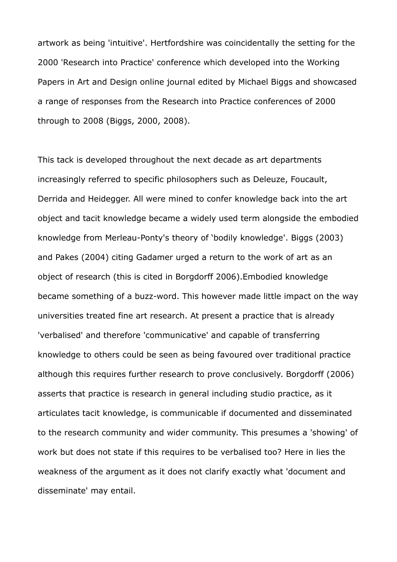artwork as being 'intuitive'. Hertfordshire was coincidentally the setting for the 2000 'Research into Practice' conference which developed into the Working Papers in Art and Design online journal edited by Michael Biggs and showcased a range of responses from the Research into Practice conferences of 2000 through to 2008 (Biggs, 2000, 2008).

This tack is developed throughout the next decade as art departments increasingly referred to specific philosophers such as Deleuze, Foucault, Derrida and Heidegger. All were mined to confer knowledge back into the art object and tacit knowledge became a widely used term alongside the embodied knowledge from Merleau-Ponty's theory of 'bodily knowledge'. Biggs (2003) and Pakes (2004) citing Gadamer urged a return to the work of art as an object of research (this is cited in Borgdorff 2006).Embodied knowledge became something of a buzz-word. This however made little impact on the way universities treated fine art research. At present a practice that is already 'verbalised' and therefore 'communicative' and capable of transferring knowledge to others could be seen as being favoured over traditional practice although this requires further research to prove conclusively. Borgdorff (2006) asserts that practice is research in general including studio practice, as it articulates tacit knowledge, is communicable if documented and disseminated to the research community and wider community. This presumes a 'showing' of work but does not state if this requires to be verbalised too? Here in lies the weakness of the argument as it does not clarify exactly what 'document and disseminate' may entail.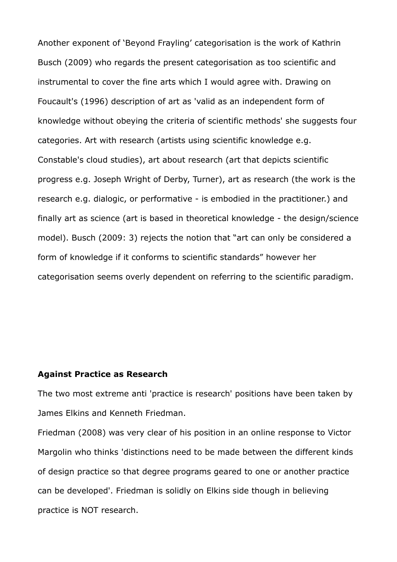Another exponent of 'Beyond Frayling' categorisation is the work of Kathrin Busch (2009) who regards the present categorisation as too scientific and instrumental to cover the fine arts which I would agree with. Drawing on Foucault's (1996) description of art as 'valid as an independent form of knowledge without obeying the criteria of scientific methods' she suggests four categories. Art with research (artists using scientific knowledge e.g. Constable's cloud studies), art about research (art that depicts scientific progress e.g. Joseph Wright of Derby, Turner), art as research (the work is the research e.g. dialogic, or performative - is embodied in the practitioner.) and finally art as science (art is based in theoretical knowledge - the design/science model). Busch (2009: 3) rejects the notion that "art can only be considered a form of knowledge if it conforms to scientific standards" however her categorisation seems overly dependent on referring to the scientific paradigm.

### **Against Practice as Research**

The two most extreme anti 'practice is research' positions have been taken by James Elkins and Kenneth Friedman.

Friedman (2008) was very clear of his position in an online response to Victor Margolin who thinks 'distinctions need to be made between the different kinds of design practice so that degree programs geared to one or another practice can be developed'. Friedman is solidly on Elkins side though in believing practice is NOT research.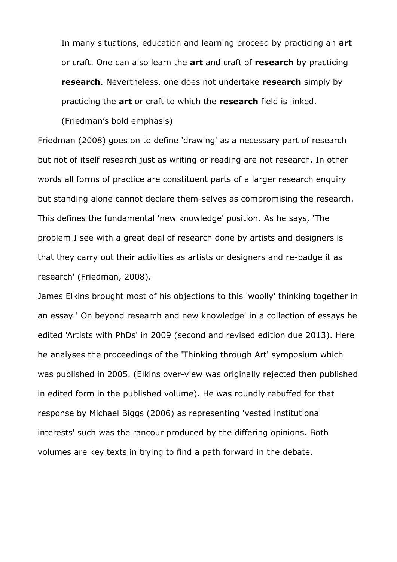In many situations, education and learning proceed by practicing an **art** or craft. One can also learn the **art** and craft of **research** by practicing **research**. Nevertheless, one does not undertake **research** simply by practicing the **art** or craft to which the **research** field is linked.

(Friedman's bold emphasis)

Friedman (2008) goes on to define 'drawing' as a necessary part of research but not of itself research just as writing or reading are not research. In other words all forms of practice are constituent parts of a larger research enquiry but standing alone cannot declare them-selves as compromising the research. This defines the fundamental 'new knowledge' position. As he says, 'The problem I see with a great deal of research done by artists and designers is that they carry out their activities as artists or designers and re-badge it as research' (Friedman, 2008).

James Elkins brought most of his objections to this 'woolly' thinking together in an essay ' On beyond research and new knowledge' in a collection of essays he edited 'Artists with PhDs' in 2009 (second and revised edition due 2013). Here he analyses the proceedings of the 'Thinking through Art' symposium which was published in 2005. (Elkins over-view was originally rejected then published in edited form in the published volume). He was roundly rebuffed for that response by Michael Biggs (2006) as representing 'vested institutional interests' such was the rancour produced by the differing opinions. Both volumes are key texts in trying to find a path forward in the debate.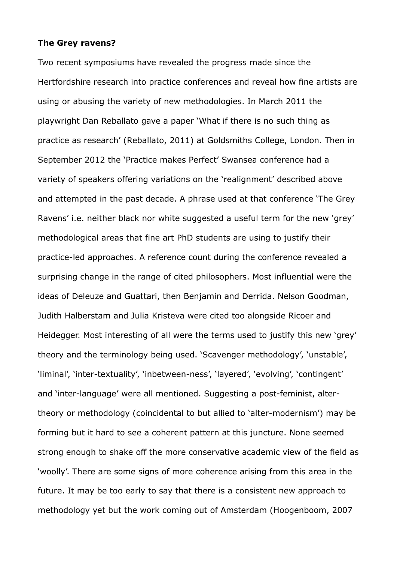#### **The Grey ravens?**

Two recent symposiums have revealed the progress made since the Hertfordshire research into practice conferences and reveal how fine artists are using or abusing the variety of new methodologies. In March 2011 the playwright Dan Reballato gave a paper 'What if there is no such thing as practice as research' (Reballato, 2011) at Goldsmiths College, London. Then in September 2012 the 'Practice makes Perfect' Swansea conference had a variety of speakers offering variations on the 'realignment' described above and attempted in the past decade. A phrase used at that conference 'The Grey Ravens' i.e. neither black nor white suggested a useful term for the new 'grey' methodological areas that fine art PhD students are using to justify their practice-led approaches. A reference count during the conference revealed a surprising change in the range of cited philosophers. Most influential were the ideas of Deleuze and Guattari, then Benjamin and Derrida. Nelson Goodman, Judith Halberstam and Julia Kristeva were cited too alongside Ricoer and Heidegger. Most interesting of all were the terms used to justify this new 'grey' theory and the terminology being used. 'Scavenger methodology', 'unstable', 'liminal', 'inter-textuality', 'inbetween-ness', 'layered', 'evolving', 'contingent' and 'inter-language' were all mentioned. Suggesting a post-feminist, altertheory or methodology (coincidental to but allied to 'alter-modernism') may be forming but it hard to see a coherent pattern at this juncture. None seemed strong enough to shake off the more conservative academic view of the field as 'woolly'. There are some signs of more coherence arising from this area in the future. It may be too early to say that there is a consistent new approach to methodology yet but the work coming out of Amsterdam (Hoogenboom, 2007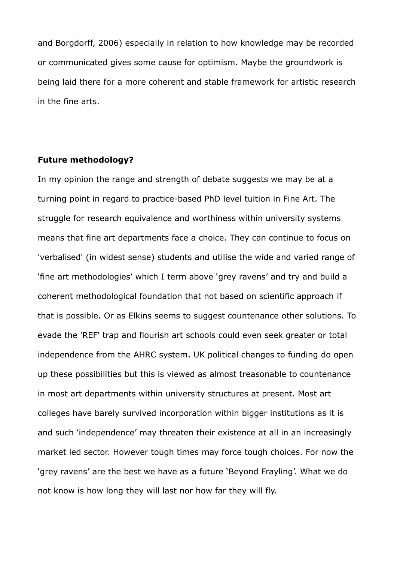and Borgdorff, 2006) especially in relation to how knowledge may be recorded or communicated gives some cause for optimism. Maybe the groundwork is being laid there for a more coherent and stable framework for artistic research in the fine arts.

### **Future methodology?**

In my opinion the range and strength of debate suggests we may be at a turning point in regard to practice-based PhD level tuition in Fine Art. The struggle for research equivalence and worthiness within university systems means that fine art departments face a choice. They can continue to focus on 'verbalised' (in widest sense) students and utilise the wide and varied range of 'fine art methodologies' which I term above 'grey ravens' and try and build a coherent methodological foundation that not based on scientific approach if that is possible. Or as Elkins seems to suggest countenance other solutions. To evade the 'REF' trap and flourish art schools could even seek greater or total independence from the AHRC system. UK political changes to funding do open up these possibilities but this is viewed as almost treasonable to countenance in most art departments within university structures at present. Most art colleges have barely survived incorporation within bigger institutions as it is and such 'independence' may threaten their existence at all in an increasingly market led sector. However tough times may force tough choices. For now the 'grey ravens' are the best we have as a future 'Beyond Frayling'. What we do not know is how long they will last nor how far they will fly.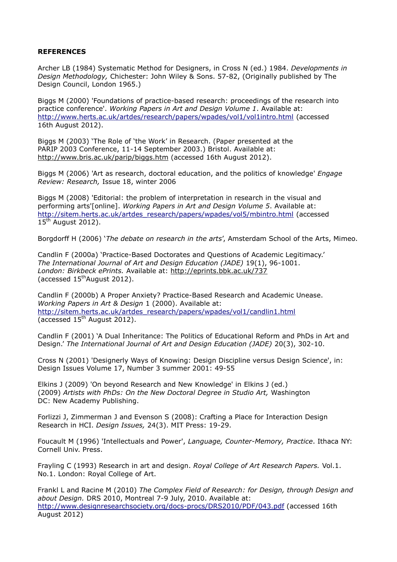#### **REFERENCES**

Archer LB (1984) Systematic Method for Designers, in Cross N (ed.) 1984. *Developments in Design Methodology,* Chichester: John Wiley & Sons. 57-82, (Originally published by The Design Council, London 1965.)

Biggs M (2000) 'Foundations of practice-based research: proceedings of the research into practice conference'. *Working Papers in Art and Design Volume 1*. Available at: <http://www.herts.ac.uk/artdes/research/papers/wpades/vol1/vol1intro.html> (accessed 16th August 2012).

Biggs M (2003) 'The Role of 'the Work' in Research. (Paper presented at the PARIP 2003 Conference, 11-14 September 2003.) Bristol. Available at: <http://www.bris.ac.uk/parip/biggs.htm> (accessed 16th August 2012).

Biggs M (2006) 'Art as research, doctoral education, and the politics of knowledge' *Engage Review: Research,* Issue 18, winter 2006

Biggs M (2008) 'Editorial: the problem of interpretation in research in the visual and performing arts'[online]. *Working Papers in Art and Design Volume 5*. Available at: [http://sitem.herts.ac.uk/artdes\\_research/papers/wpades/vol5/mbintro.html](http://sitem.herts.ac.uk/artdes_research/papers/wpades/vol5/mbintro.html) (accessed 15<sup>th</sup> August 2012).

Borgdorff H (2006) '*The debate on research in the arts*', Amsterdam School of the Arts, Mimeo.

Candlin F (2000a) 'Practice-Based Doctorates and Questions of Academic Legitimacy.' *The International Journal of Art and Design Education (JADE)* 19(1), 96-1001. *London: Birkbeck ePrints.* Available at:<http://eprints.bbk.ac.uk/737> (accessed  $15<sup>th</sup>$ August 2012).

Candlin F (2000b) A Proper Anxiety? Practice-Based Research and Academic Unease. *Working Papers in Art & Design* 1 (2000). Available at: [http://sitem.herts.ac.uk/artdes\\_research/papers/wpades/vol1/candlin1.html](http://sitem.herts.ac.uk/artdes_research/papers/wpades/vol1/candlin1.html) (accessed  $15<sup>th</sup>$  August 2012).

Candlin F (2001) 'A Dual Inheritance: The Politics of Educational Reform and PhDs in Art and Design.' *The International Journal of Art and Design Education (JADE)* 20(3), 302-10.

Cross N (2001) 'Designerly Ways of Knowing: Design Discipline versus Design Science', in: Design Issues Volume 17, Number 3 summer 2001: 49-55

Elkins J (2009) 'On beyond Research and New Knowledge' in Elkins J (ed.) (2009) *Artists with PhDs: On the New Doctoral Degree in Studio Art,* Washington DC: New Academy Publishing.

Forlizzi J, Zimmerman J and Evenson S (2008): Crafting a Place for Interaction Design Research in HCI. *Design Issues,* 24(3). MIT Press: 19-29.

Foucault M (1996) 'Intellectuals and Power', *Language, Counter-Memory, Practice*. Ithaca NY: Cornell Univ. Press.

Frayling C (1993) Research in art and design. *Royal College of Art Research Papers.* Vol.1. No.1. London: Royal College of Art.

Frankl L and Racine M (2010) *The Complex Field of Research: for Design, through Design and about Design.* DRS 2010, Montreal 7-9 July, 2010. Available at: <http://www.designresearchsociety.org/docs-procs/DRS2010/PDF/043.pdf> (accessed 16th August 2012)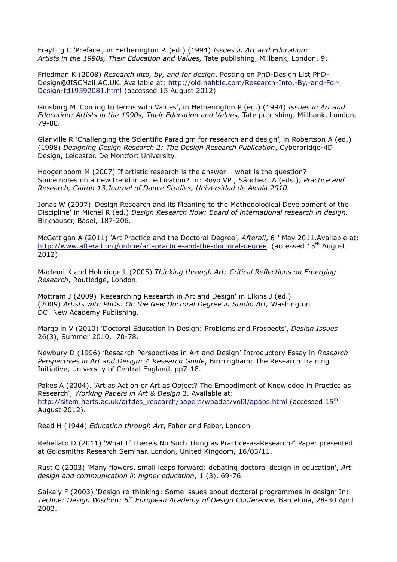Frayling C 'Preface', in Hetherington P. (ed.) (1994) *Issues in Art and Education: Artists in the 1990s, Their Education and Values,* Tate publishing, Millbank, London, 9.

Friedman K (2008) *Research into, by, and for design*. Posting on PhD-Design List PhD-Design@JISCMail.AC.UK. Available at: [http://old.nabble.com/Research-Into,-By,-and-For-](http://old.nabble.com/Research-Into,-By,-and-For-Design-td19592081.html)[Design-td19592081.html](http://old.nabble.com/Research-Into,-By,-and-For-Design-td19592081.html) (accessed 15 August 2012)

Ginsborg M 'Coming to terms with Values', in Hetherington P (ed.) (1994) *Issues in Art and Education: Artists in the 1990s, Their Education and Values,* Tate publishing, Millbank, London, 79-80.

Glanville R 'Challenging the Scientific Paradigm for research and design', in Robertson A (ed.) (1998) *Designing Design Research 2: The Design Research Publication*, Cyberbridge-4D Design, Leicester, De Montfort University.

Hoogenboom M (2007) If artistic research is the answer – what is the question? Some notes on a new trend in art education? In: Royo VP , Sánchez JA (eds.)*, Practice and Research, Cairon 13,Journal of Dance Studies, Universidad de Alcalá 2010.*

Jonas W (2007) 'Design Research and its Meaning to the Methodological Development of the Discipline' in Michel R (ed.) *Design Research Now: Board of international research in design,* Birkhauser, Basel, 187-206.

McGettigan A (2011) 'Art Practice and the Doctoral Degree', *Afterall*, 6th May 2011.Available at: <http://www.afterall.org/online/art-practice-and-the-doctoral-degree> (accessed 15<sup>th</sup> August 2012)

Macleod K and Holdridge L (2005) *Thinking through Art: Critical Reflections on Emerging Research*, Routledge, London.

Mottram J (2009) 'Researching Research in Art and Design' in Elkins J (ed.) (2009) *Artists with PhDs: On the New Doctoral Degree in Studio Art,* Washington DC: New Academy Publishing.

Margolin V (2010) 'Doctoral Education in Design: Problems and Prospects', *Design Issues* 26(3), Summer 2010, 70-78.

Newbury D (1996) 'Research Perspectives in Art and Design' Introductory Essay in *Research Perspectives in Art and Design: A Research Guide*, Birmingham: The Research Training Initiative, University of Central England, pp7-18.

Pakes A (2004). 'Art as Action or Art as Object? The Embodiment of Knowledge in Practice as Research', *Working Papers in Art & Design* 3. Available at: [http://sitem.herts.ac.uk/artdes\\_research/papers/wpades/vol3/apabs.html](http://sitem.herts.ac.uk/artdes_research/papers/wpades/vol3/apabs.html) (accessed 15<sup>th</sup>) August 2012).

Read H (1944) *Education through Art*, Faber and Faber, London

Rebellato D (2011) 'What If There's No Such Thing as Practice-as-Research?' Paper presented at Goldsmiths Research Seminar, London, United Kingdom, 16/03/11.

Rust C (2003) 'Many flowers, small leaps forward: debating doctoral design in education', *Art design and communication in higher education*, 1 (3), 69-76.

Saikaly F (2003) 'Design re-thinking: Some issues about doctoral programmes in design' In: *Techne: Design Wisdom: 5th European Academy of Design Conference,* Barcelona, 28-30 April 2003.